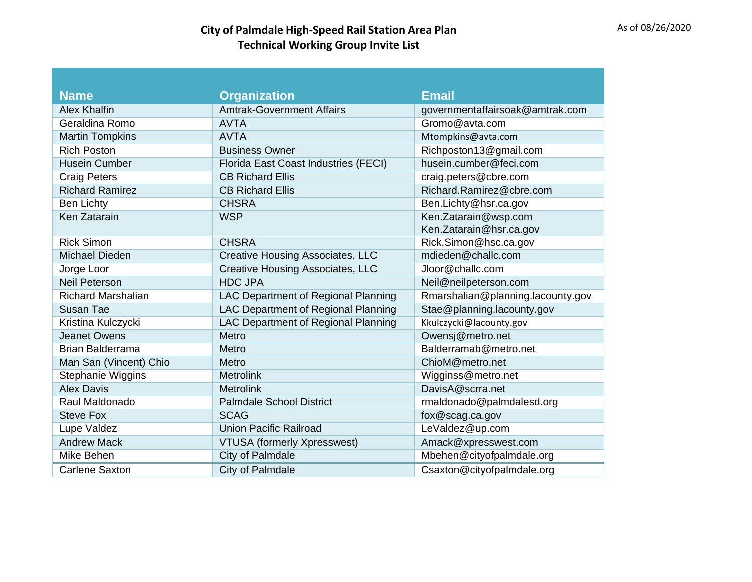## **City** of Palmdale High-Speed Rail Station Area Plan<br> **City** of Palmdale High-Speed Rail Station Area Plan **Technical Working Group Invite List**

| <b>Name</b>               | <b>Organization</b>                        | <b>Email</b>                      |
|---------------------------|--------------------------------------------|-----------------------------------|
| <b>Alex Khalfin</b>       | <b>Amtrak-Government Affairs</b>           | governmentaffairsoak@amtrak.com   |
| Geraldina Romo            | <b>AVTA</b>                                | Gromo@avta.com                    |
| <b>Martin Tompkins</b>    | <b>AVTA</b>                                | Mtompkins@avta.com                |
| <b>Rich Poston</b>        | <b>Business Owner</b>                      | Richposton13@gmail.com            |
| <b>Husein Cumber</b>      | Florida East Coast Industries (FECI)       | husein.cumber@feci.com            |
| <b>Craig Peters</b>       | <b>CB Richard Ellis</b>                    | craig.peters@cbre.com             |
| <b>Richard Ramirez</b>    | <b>CB Richard Ellis</b>                    | Richard.Ramirez@cbre.com          |
| <b>Ben Lichty</b>         | <b>CHSRA</b>                               | Ben.Lichty@hsr.ca.gov             |
| Ken Zatarain              | <b>WSP</b>                                 | Ken.Zatarain@wsp.com              |
|                           |                                            | Ken.Zatarain@hsr.ca.gov           |
| <b>Rick Simon</b>         | <b>CHSRA</b>                               | Rick.Simon@hsc.ca.gov             |
| <b>Michael Dieden</b>     | <b>Creative Housing Associates, LLC</b>    | mdieden@challc.com                |
| Jorge Loor                | <b>Creative Housing Associates, LLC</b>    | Jloor@challc.com                  |
| <b>Neil Peterson</b>      | <b>HDC JPA</b>                             | Neil@neilpeterson.com             |
| <b>Richard Marshalian</b> | LAC Department of Regional Planning        | Rmarshalian@planning.lacounty.gov |
| Susan Tae                 | LAC Department of Regional Planning        | Stae@planning.lacounty.gov        |
| Kristina Kulczycki        | <b>LAC Department of Regional Planning</b> | Kkulczycki@lacounty.gov           |
| <b>Jeanet Owens</b>       | Metro                                      | Owensj@metro.net                  |
| <b>Brian Balderrama</b>   | Metro                                      | Balderramab@metro.net             |
| Man San (Vincent) Chio    | Metro                                      | ChioM@metro.net                   |
| <b>Stephanie Wiggins</b>  | <b>Metrolink</b>                           | Wigginss@metro.net                |
| <b>Alex Davis</b>         | <b>Metrolink</b>                           | DavisA@scrra.net                  |
| Raul Maldonado            | <b>Palmdale School District</b>            | rmaldonado@palmdalesd.org         |
| <b>Steve Fox</b>          | <b>SCAG</b>                                | fox@scag.ca.gov                   |
| Lupe Valdez               | <b>Union Pacific Railroad</b>              | LeValdez@up.com                   |
| <b>Andrew Mack</b>        | <b>VTUSA</b> (formerly Xpresswest)         | Amack@xpresswest.com              |
| Mike Behen                | City of Palmdale                           | Mbehen@cityofpalmdale.org         |
| Carlene Saxton            | City of Palmdale                           | Csaxton@cityofpalmdale.org        |